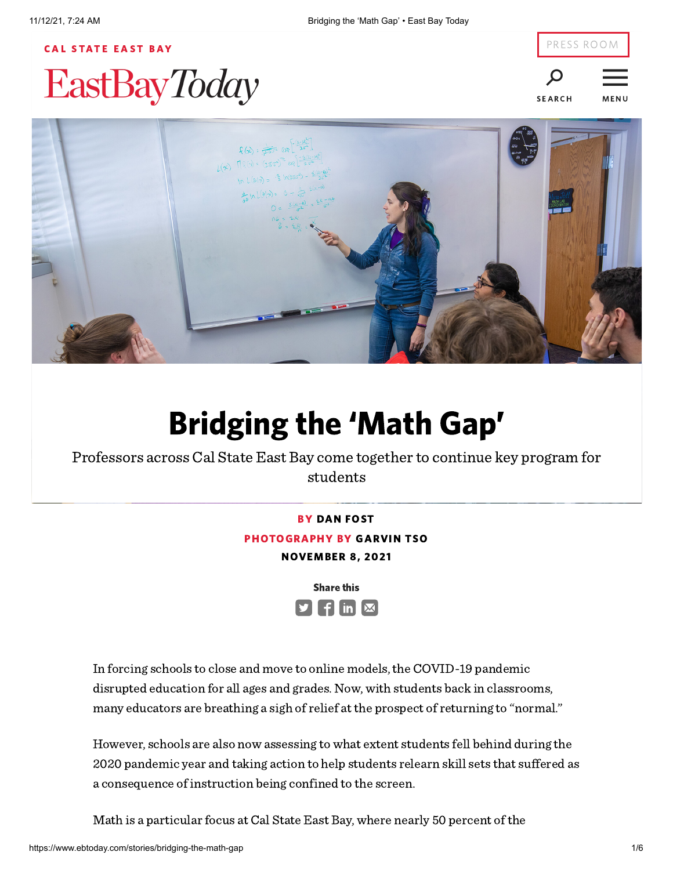# **CAL S[TAT](http://www.csueastbay.edu/)E EAST BAY EastBayToday**



**SEARCH** 

<u>estas e</u> **MENU** 



# Bridging the 'Math Gap'

Professors across Cal State East Bay come together to continue key program for students

BY DAN FOST

PHOTOGRAPHY BY GARVIN TSO

NOVEMBER 8, 2021



In forcing schools to close and move to online models, the COVID-19 pandemic disrupted education for all ages and grades. Now, with students back in classrooms, many educators are breathing a sigh of relief at the prospect of returning to "normal."

However, schools are also now assessing to what extent students fell behind during the 2020 pandemic year and taking action to help students relearn skill sets that suffered as a consequence of instruction being confined to the screen.

Math is a particular focus at Cal State East Bay, where nearly 50 percent of the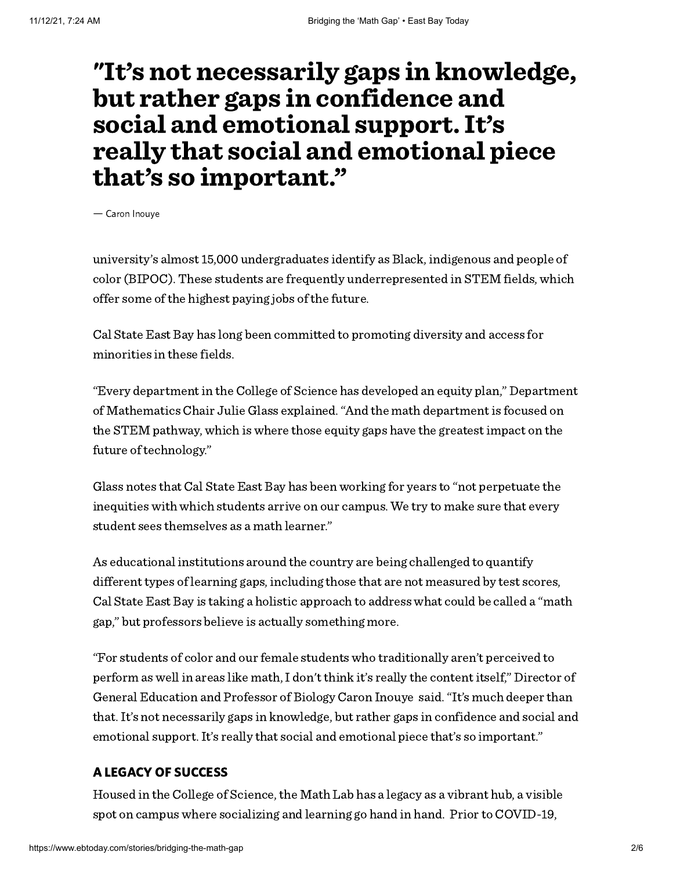### "It's not necessarily gaps in knowledge, but rather gaps in confidence and social and emotional support. It's really that social and emotional piece that's so important."

— Caron Inouye

university's almost 15,000 undergraduates identify as Black, indigenous and people of color (BIPOC). These students are frequently underrepresented in STEM fields, which offer some of the highest paying jobs of the future.

Cal State East Bay has long been committed to promoting diversity and access for minorities in these fields.

"Every department in the College of Science has developed an equity plan," Department of Mathematics Chair Julie Glass explained."And the math department is focused on the STEM pathway, which is where those equity gaps have the greatest impact on the future of technology."

Glass notes that Cal State East Bay has been working for years to "not perpetuate the inequities with which students arrive on our campus. We try to make sure that every student sees themselves as a math learner."

As educational institutions around the country are being challenged to quantify different types of learning gaps, including those that are not measured by test scores, Cal State East Bay is taking a holistic approach to address what could be called a "math gap," but professors believe is actually something more.

"For students of color and our female students who traditionally aren't perceived to perform as well in areas like math, I don't think it's really the content itself," Director of General Education and Professor of Biology Caron Inouye said."It's much deeper than that.It's not necessarily gaps in knowledge, but rather gaps in confidence and social and emotional support.It's really that social and emotional piece that's so important."

### A LEGACY OF SUCCESS

Housed in the College of Science, the Math Lab has a legacy as a vibrant hub, a visible spot on campus where socializing and learning go hand in hand. Prior to COVID-19,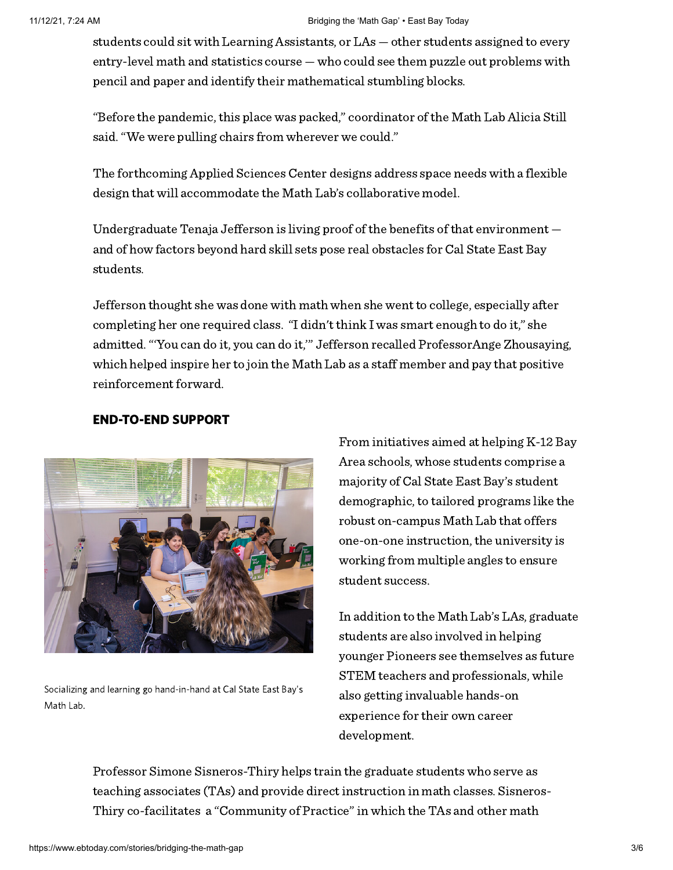#### 11/12/21, 7:24 AM Bridging the 'Math Gap' • East Bay Today

students could sit with Learning Assistants, or LAs — other students assigned to every entry-level math and statistics course — who could see them puzzle out problems with pencil and paper and identify their mathematical stumbling blocks.

"Before the pandemic, this place was packed," coordinator of the Math Lab Alicia Still said."We were pulling chairs from wherever we could."

The forthcoming Applied Sciences Center designs address space needs with a flexible design that will accommodate the Math Lab's collaborative model.

Undergraduate Tenaja Jefferson is living proof of the benefits of that environment and of how factors beyond hard skill sets pose real obstacles for Cal State East Bay students.

Jefferson thought she was done with math when she went to college, especially after completing her one required class. "I didn't think I was smart enough to do it," she admitted."'You can do it, you can do it,'" Jefferson recalled ProfessorAnge Zhousaying, which helped inspire her to join the Math Lab as a staff member and pay that positive reinforcement forward.



### END-TO-END SUPPORT

Socializing and learning go hand-in-hand at Cal State East Bay's Math Lab.

From initiatives aimed at helping K-12 Bay Area schools, whose students comprise a majority of Cal State East Bay's student demographic, to tailored programs like the robust on-campus Math Lab that offers one-on-one instruction, the university is working from multiple angles to ensure student success.

In addition to the Math Lab's LAs, graduate students are also involved in helping younger Pioneers see themselves as future STEM teachers and professionals, while also getting invaluable hands-on experience for their own career development.

Professor Simone Sisneros-Thiry helps train the graduate students who serve as teaching associates (TAs) and provide direct instruction in math classes. Sisneros-Thiry co-facilitates a "Community of Practice"in which the TAs and other math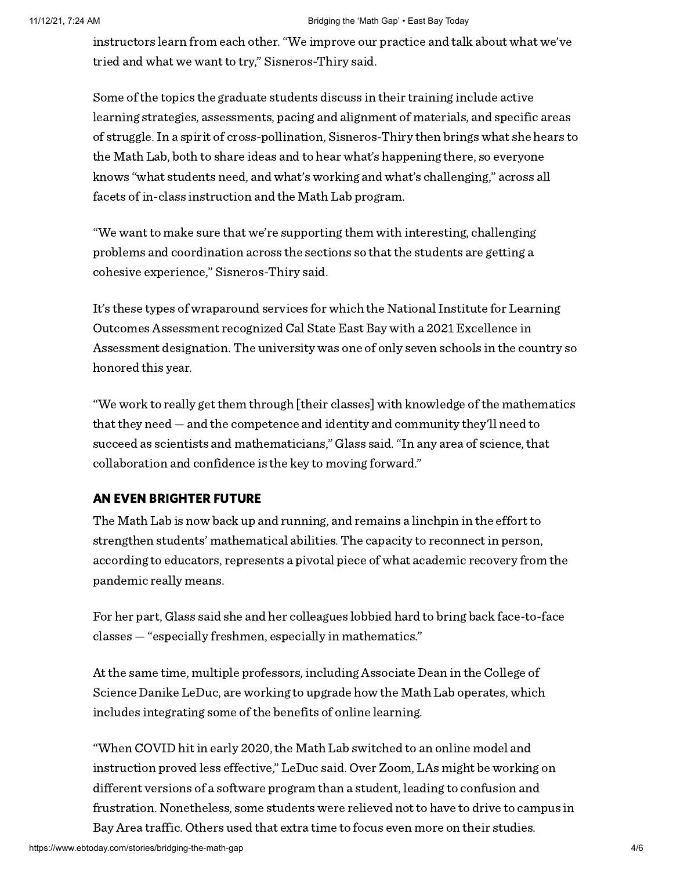#### 11/12/21, 7:24 AM Bridging the 'Math Gap' • East Bay Today

instructors learn from each other."We improve our practice and talk about what we've tried and what we want to try," Sisneros-Thiry said.

Some of the topics the graduate students discuss in their training include active learning strategies, assessments, pacing and alignment of materials, and specific areas of struggle.In a spirit of cross-pollination, Sisneros-Thiry then brings what she hears to the Math Lab, both to share ideas and to hear what's happening there, so everyone knows "what students need, and what's working and what's challenging," across all facets of in-class instruction and the Math Lab program.

"We want to make sure that we're supporting them with interesting, challenging problems and coordination across the sections so that the students are getting a cohesive experience," Sisneros-Thiry said.

It's these types of wraparound services for which the National Institute for Learning Outcomes Assessment recognized Cal State East Bay with a 2021 Excellence in Assessment designation. The university was one of only seven schools in the country so honored this year.

"We work to really get them through [their classes] with knowledge of the mathematics that they need — and the competence and identity and community they'll need to succeed as scientists and mathematicians," Glass said."In any area of science, that collaboration and confidence is the key to moving forward."

#### AN EVEN BRIGHTER FUTURE

The Math Lab is now back up and running, and remains a linchpin in the effort to strengthen students' mathematical abilities. The capacity to reconnect in person, according to educators, represents a pivotal piece of what academic recovery from the pandemic really means.

For her part, Glass said she and her colleagues lobbied hard to bring back face-to-face classes — "especially freshmen, especially in mathematics."

At the same time, multiple professors, including Associate Dean in the College of Science Danike LeDuc, are working to upgrade how the Math Lab operates, which includes integrating some of the benefits of online learning.

"When COVID hit in early 2020, the Math Lab switched to an online model and instruction proved less effective," LeDuc said. Over Zoom, LAs might be working on different versions of a software program than a student, leading to confusion and frustration. Nonetheless, some students were relieved not to have to drive to campus in Bay Area traffic. Others used that extra time to focus even more on their studies.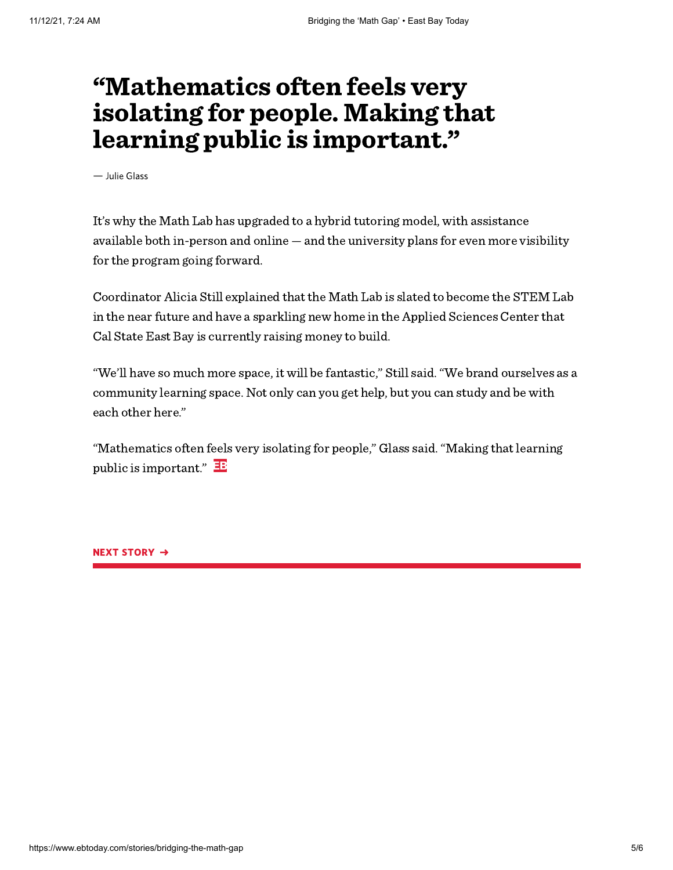## "Mathematics often feels very isolating for people. Making that learning public is important."

— Julie Glass

It's why the Math Lab has upgraded to a hybrid tutoring model, with assistance available both in-person and online — and the university plans for even more visibility for the program going forward.

Coordinator Alicia Still explained that the Math Lab is slated to become the STEM Lab in the near future and have a sparkling new home in the Applied Sciences Center that Cal State East Bay is currently raising money to build.

"We'll have so much more space, it will be fantastic," Still said."We brand ourselves as a community learning space. Not only can you get help, but you can study and be with each other here."

"Mathematics often feels very isolating for people," Glass said."Making that learning public is important."  $\mathbf{E}$ 

NEXT STORY →